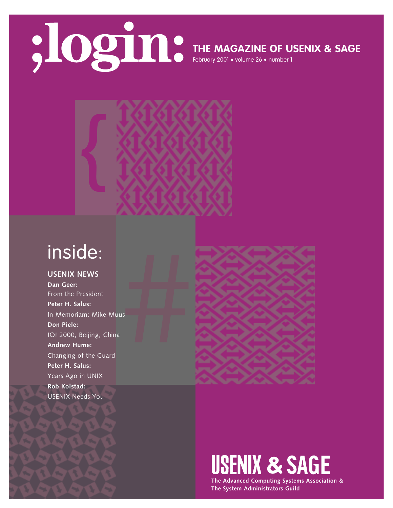

### **THE MAGAZINE OF USENIX & SAGE**

February 2001 • volume 26 • number 1



## inside:

#### **USENIX NEWS Dan Geer:**  From the President **Peter H. Salus:** In Memoriam: Mike Muus **Don Piele:** IOI 2000, Beijing, China **Andrew Hume:** Changing of the Guard **Peter H. Salus:** Years Ago in UNIX **Rob Kolstad:** USENIX Needs You



# **USENIX & SAGE**

**The Advanced Computing Systems Association & The System Administrators Guild**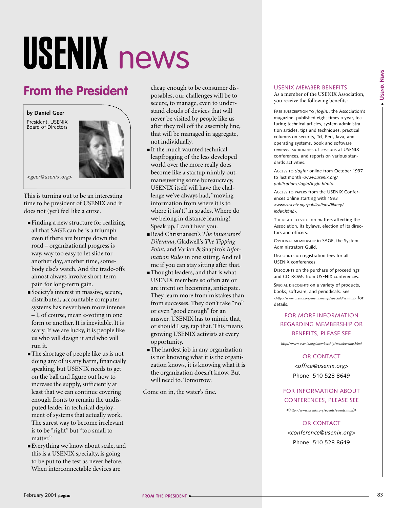# USENIX news

## **From the President**

**by Daniel Geer**

President, USENIX Board of Directors



*<geer@usenix.org>*

This is turning out to be an interesting time to be president of USENIX and it does not (yet) feel like a curse.

- Finding a new structure for realizing all that SAGE can be is a triumph even if there are bumps down the road – organizational progress is way, way too easy to let slide for another day, another time, somebody else's watch. And the trade-offs almost always involve short-term pain for long-term gain.
- Society's interest in massive, secure, distributed, accountable computer systems has never been more intense – I, of course, mean e-voting in one form or another. It is inevitable. It is scary. If we are lucky, it is people like us who will design it and who will run it.
- The shortage of people like us is not doing any of us any harm, financially speaking, but USENIX needs to get on the ball and figure out how to increase the supply, sufficiently at least that we can continue covering enough fronts to remain the undisputed leader in technical deployment of systems that actually work. The surest way to become irrelevant is to be "right" but "too small to matter."
- Everything we know about scale, and this is a USENIX specialty, is going to be put to the test as never before. When interconnectable devices are

cheap enough to be consumer disposables, our challenges will be to secure, to manage, even to understand clouds of devices that will never be visited by people like us after they roll off the assembly line, that will be managed in aggregate, not individually.

- If the much vaunted technical leapfrogging of the less developed world over the more really does become like a startup nimbly outmaneuvering some bureaucracy, USENIX itself will have the challenge we've always had, "moving information from where it is to where it isn't," in spades. Where do we belong in distance learning? Speak up, I can't hear you.
- Read Christiansen's *The Innovators' Dilemma*, Gladwell's *The Tipping Point*, and Varian & Shapiro's *Information Rules* in one sitting. And tell me if you can stay sitting after that.
- Thought leaders, and that is what USENIX members so often are or are intent on becoming, anticipate. They learn more from mistakes than from successes. They don't take "no" or even "good enough" for an answer. USENIX has to mimic that, or should I say, tap that. This means growing USENIX activists at every opportunity.
- The hardest job in any organization is not knowing what it is the organization knows, it is knowing what it is the organization doesn't know. But will need to. Tomorrow.

Come on in, the water's fine.

#### USENIX MEMBER BENEFITS

As a member of the USENIX Association, you receive the following benefits:

FREE SUBSCRIPTION TO *;login:*, the Association's magazine, published eight times a year, featuring technical articles, system administration articles, tips and techniques, practical columns on security, Tcl, Perl, Java, and operating systems, book and software reviews, summaries of sessions at USENIX conferences, and reports on various standards activities.

ACCESS TO *;login:* online from October 1997 to last month *<www.usenix.org/ publications/login/login.html>.*

ACCESS TO PAPERS from the USENIX Conferences online starting with 1993 *<www.usenix.org/publications/library/ index.html>*.

THE RIGHT TO VOTE on matters affecting the Association, its bylaws, election of its directors and officers.

OPTIONAL MEMBERSHIP in SAGE, the System Administrators Guild.

DISCOUNTS on registration fees for all USENIX conferences.

DISCOUNTS on the purchase of proceedings and CD-ROMs from USENIX conferences.

SPECIAL DISCOUNTS on a variety of products, books, software, and periodicals. See *<http://www.usenix.org/membership/specialdisc.html>* for details.

#### FOR MORE INFORMATION REGARDING MEMBERSHIP OR BENEFITS, PLEASE SEE

*http://www.usenix.org/membership/membership.html*

OR CONTACT

*<office@usenix.org*> Phone: 510 528 8649

#### FOR INFORMATION ABOUT CONFERENCES, PLEASE SEE

*<http://www.usenix.org/events/events.html*>

#### OR CONTACT

*<conference@usenix.org*> Phone: 510 528 8649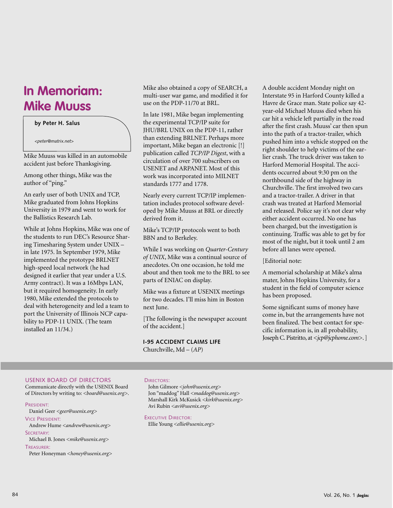## **In Memoriam: Mike Muuss**

**by Peter H. Salus**

*<peter@matrix.net>*

Mike Muuss was killed in an automobile accident just before Thanksgiving.

Among other things, Mike was the author of "ping."

An early user of both UNIX and TCP, Mike graduated from Johns Hopkins University in 1979 and went to work for the Ballistics Research Lab.

While at Johns Hopkins, Mike was one of the students to run DEC's Resource Sharing Timesharing System under UNIX – in late 1975. In September 1979, Mike implemented the prototype BRLNET high-speed local network (he had designed it earlier that year under a U.S. Army contract). It was a 16Mbps LAN, but it required homogeneity. In early 1980, Mike extended the protocols to deal with heterogeneity and led a team to port the University of Illinois NCP capability to PDP-11 UNIX. (The team installed an 11/34.)

Mike also obtained a copy of SEARCH, a multi-user war game, and modified it for use on the PDP-11/70 at BRL.

In late 1981, Mike began implementing the experimental TCP/IP suite for JHU/BRL UNIX on the PDP-11, rather than extending BRLNET. Perhaps more important, Mike began an electronic [!] publication called *TCP/IP Digest*, with a circulation of over 700 subscribers on USENET and ARPANET. Most of this work was incorporated into MILNET standards 1777 and 1778.

Nearly every current TCP/IP implementation includes protocol software developed by Mike Muuss at BRL or directly derived from it.

Mike's TCP/IP protocols went to both BBN and to Berkeley.

While I was working on *Quarter-Century of UNIX*, Mike was a continual source of anecdotes. On one occasion, he told me about and then took me to the BRL to see parts of ENIAC on display.

Mike was a fixture at USENIX meetings for two decades. I'll miss him in Boston next June.

[The following is the newspaper account of the accident.]

**I-95 ACCIDENT CLAIMS LIFE**  Churchville, Md – (*AP*)

A double accident Monday night on Interstate 95 in Harford County killed a Havre de Grace man. State police say 42 year-old Michael Muuss died when his car hit a vehicle left partially in the road after the first crash. Muuss' car then spun into the path of a tractor-trailer, which pushed him into a vehicle stopped on the right shoulder to help victims of the earlier crash. The truck driver was taken to Harford Memorial Hospital. The accidents occurred about 9:30 pm on the northbound side of the highway in Churchville. The first involved two cars and a tractor-trailer. A driver in that crash was treated at Harford Memorial and released. Police say it's not clear why either accident occurred. No one has been charged, but the investigation is continuing. Traffic was able to get by for most of the night, but it took until 2 am before all lanes were opened.

#### [Editorial note:

A memorial scholarship at Mike's alma mater, Johns Hopkins University, for a student in the field of computer science has been proposed.

Some significant sums of money have come in, but the arrangements have not been finalized. The best contact for specific information is, in all probability, Joseph C. Pistritto, at <*jcp@jcphome.com*>. ]

#### USENIX BOARD OF DIRECTORS

Communicate directly with the USENIX Board of Directors by writing to: *<board@usenix.org>*.

#### PRESIDENT:

Daniel Geer *<geer@usenix.org>*

VICE PRESIDENT: Andrew Hume *<andrew@usenix.org>*

SECRETARY:

Michael B. Jones *<mike@usenix.org>*

#### TREASURER:

Peter Honeyman *<honey@usenix.org>*

#### DIRECTORS:

John Gilmore *<john@usenix.org>* Jon "maddog" Hall *<maddog@usenix.org>* Marshall Kirk McKusick *<kirk@usenix.org>* Avi Rubin *<avi@usenix.org>*

EXECUTIVE DIRECTOR:

Ellie Young *<ellie@usenix.org>*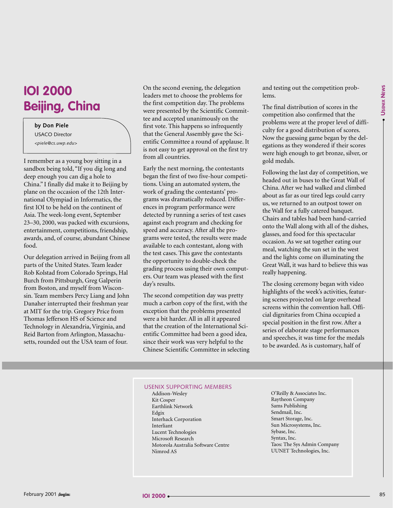## **IOI 2000 Beijing, China**

#### **by Don Piele** USACO Director *<piele@cs.uwp.edu>*

I remember as a young boy sitting in a sandbox being told, "If you dig long and deep enough you can dig a hole to China." I finally did make it to Beijing by plane on the occasion of the 12th International Olympiad in Informatics, the first IOI to be held on the continent of Asia. The week-long event, September 23–30, 2000, was packed with excursions, entertainment, competitions, friendship, awards, and, of course, abundant Chinese food.

Our delegation arrived in Beijing from all parts of the United States. Team leader Rob Kolstad from Colorado Springs, Hal Burch from Pittsburgh, Greg Galperin from Boston, and myself from Wisconsin. Team members Percy Liang and John Danaher interrupted their freshman year at MIT for the trip. Gregory Price from Thomas Jefferson HS of Science and Technology in Alexandria, Virginia, and Reid Barton from Arlington, Massachusetts, rounded out the USA team of four.

On the second evening, the delegation leaders met to choose the problems for the first competition day. The problems were presented by the Scientific Committee and accepted unanimously on the first vote. This happens so infrequently that the General Assembly gave the Scientific Committee a round of applause. It is not easy to get approval on the first try from all countries.

Early the next morning, the contestants began the first of two five-hour competitions. Using an automated system, the work of grading the contestants' programs was dramatically reduced. Differences in program performance were detected by running a series of test cases against each program and checking for speed and accuracy. After all the programs were tested, the results were made available to each contestant, along with the test cases. This gave the contestants the opportunity to double-check the grading process using their own computers. Our team was pleased with the first day's results.

The second competition day was pretty much a carbon copy of the first, with the exception that the problems presented were a bit harder. All in all it appeared that the creation of the International Scientific Committee had been a good idea, since their work was very helpful to the Chinese Scientific Committee in selecting and testing out the competition problems.

The final distribution of scores in the competition also confirmed that the problems were at the proper level of difficulty for a good distribution of scores. Now the guessing game began by the delegations as they wondered if their scores were high enough to get bronze, silver, or gold medals.

Following the last day of competition, we headed out in buses to the Great Wall of China. After we had walked and climbed about as far as our tired legs could carry us, we returned to an outpost tower on the Wall for a fully catered banquet. Chairs and tables had been hand-carried onto the Wall along with all of the dishes, glasses, and food for this spectacular occasion. As we sat together eating our meal, watching the sun set in the west and the lights come on illuminating the Great Wall, it was hard to believe this was really happening.

The closing ceremony began with video highlights of the week's activities, featuring scenes projected on large overhead screens within the convention hall. Official dignitaries from China occupied a special position in the first row. After a series of elaborate stage performances and speeches, it was time for the medals to be awarded. As is customary, half of

#### USENIX SUPPORTING MEMBERS

- Addison-Wesley Kit Cosper Earthlink Network Edgix Interhack Corporation Interliant Lucent Technologies Microsoft Research Motorola Australia Software Centre Nimrod AS
- O'Reilly & Associates Inc. Raytheon Company Sams Publishing Sendmail, Inc. Smart Storage, Inc. Sun Microsystems, Inc. Sybase, Inc. Syntax, Inc. Taos: The Sys Admin Company UUNET Technologies, Inc.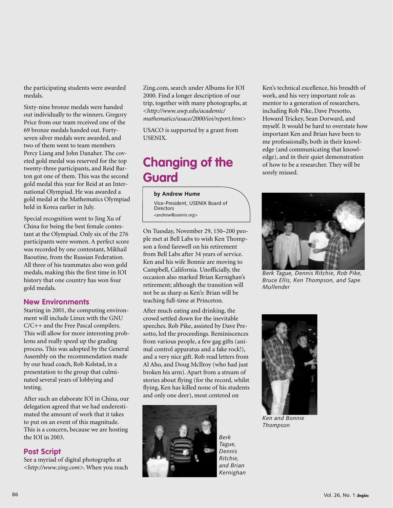the participating students were awarded medals.

Sixty-nine bronze medals were handed out individually to the winners. Gregory Price from our team received one of the 69 bronze medals handed out. Fortyseven silver medals were awarded, and two of them went to team members Percy Liang and John Danaher. The coveted gold medal was reserved for the top twenty-three participants, and Reid Barton got one of them. This was the second gold medal this year for Reid at an International Olympiad. He was awarded a gold medal at the Mathematics Olympiad held in Korea earlier in July.

Special recognition went to Jing Xu of China for being the best female contestant at the Olympiad. Only six of the 276 participants were women. A perfect score was recorded by one contestant, Mikhail Baoutine, from the Russian Federation. All three of his teammates also won gold medals, making this the first time in IOI history that one country has won four gold medals.

#### **New Environments**

Starting in 2001, the computing environment will include Linux with the GNU C/C++ and the Free Pascal compilers. This will allow for more interesting problems and really speed up the grading process. This was adopted by the General Assembly on the recommendation made by our head coach, Rob Kolstad, in a presentation to the group that culminated several years of lobbying and testing.

After such an elaborate IOI in China, our delegation agreed that we had underestimated the amount of work that it takes to put on an event of this magnitude. This is a concern, because we are hosting the IOI in 2003.

#### **Post Script**

See a myriad of digital photographs at *<http://www.zing.com>*. When you reach Zing.com, search under Albums for IOI 2000. Find a longer description of our trip, together with many photographs, at *<http://www.uwp.edu/academic/ mathematics/usaco/2000/ioi/report.htm>*

USACO is supported by a grant from USENIX.

## **Changing of the Guard**

**by Andrew Hume** Vice-President, USENIX Board of

**Directors** *<andrew@usenix.org>*

On Tuesday, November 29, 150–200 people met at Bell Labs to wish Ken Thompson a fond farewell on his retirement from Bell Labs after 34 years of service. Ken and his wife Bonnie are moving to Campbell, California. Unofficially, the occasion also marked Brian Kernighan's retirement; although the transition will not be as sharp as Ken's: Brian will be teaching full-time at Princeton.

After much eating and drinking, the crowd settled down for the inevitable speeches. Rob Pike, assisted by Dave Presotto, led the proceedings. Reminiscences from various people, a few gag gifts (animal control apparatus and a fake rock!), and a very nice gift. Rob read letters from Al Aho, and Doug McIlroy (who had just broken his arm). Apart from a stream of stories about flying (for the record, whilst flying, Ken has killed none of his students and only one deer), most centered on



*Berk Tague, Dennis Ritchie, and Brian Kernighan*

Ken's technical excellence, his breadth of work, and his very important role as mentor to a generation of researchers, including Rob Pike, Dave Presotto, Howard Trickey, Sean Dorward, and myself. It would be hard to overstate how important Ken and Brian have been to me professionally, both in their knowledge (and communicating that knowledge), and in their quiet demonstration of how to be a researcher. They will be sorely missed.



*Berk Tague, Dennis Ritchie, Rob Pike, Bruce Ellis, Ken Thompson, and Sape Mullender*



*Ken and Bonnie Thompson*